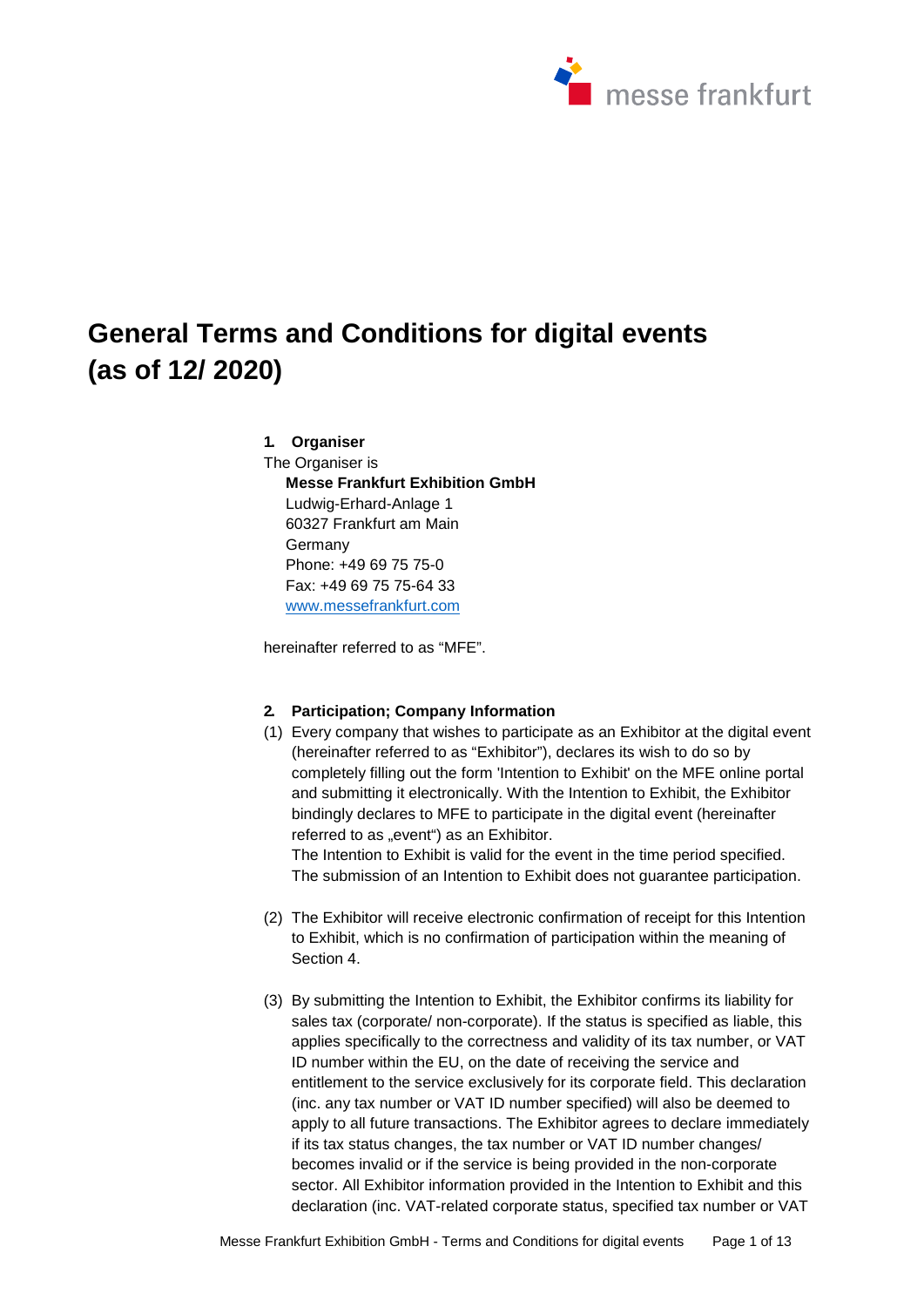

# **General Terms and Conditions for digital events (as of 12/ 2020)**

# **1. Organiser**

The Organiser is **Messe Frankfurt Exhibition GmbH**  Ludwig-Erhard-Anlage 1 60327 Frankfurt am Main Germany Phone: +49 69 75 75-0 Fax: +49 69 75 75-64 33 [www.messefrankfurt.com](http://www.messefrankfurt.com/)

hereinafter referred to as "MFE".

#### **2. Participation; Company Information**

(1) Every company that wishes to participate as an Exhibitor at the digital event (hereinafter referred to as "Exhibitor"), declares its wish to do so by completely filling out the form 'Intention to Exhibit' on the MFE online portal and submitting it electronically. With the Intention to Exhibit, the Exhibitor bindingly declares to MFE to participate in the digital event (hereinafter referred to as "event") as an Exhibitor.

The Intention to Exhibit is valid for the event in the time period specified. The submission of an Intention to Exhibit does not guarantee participation.

- (2) The Exhibitor will receive electronic confirmation of receipt for this Intention to Exhibit, which is no confirmation of participation within the meaning of Section 4.
- (3) By submitting the Intention to Exhibit, the Exhibitor confirms its liability for sales tax (corporate/ non-corporate). If the status is specified as liable, this applies specifically to the correctness and validity of its tax number, or VAT ID number within the EU, on the date of receiving the service and entitlement to the service exclusively for its corporate field. This declaration (inc. any tax number or VAT ID number specified) will also be deemed to apply to all future transactions. The Exhibitor agrees to declare immediately if its tax status changes, the tax number or VAT ID number changes/ becomes invalid or if the service is being provided in the non-corporate sector. All Exhibitor information provided in the Intention to Exhibit and this declaration (inc. VAT-related corporate status, specified tax number or VAT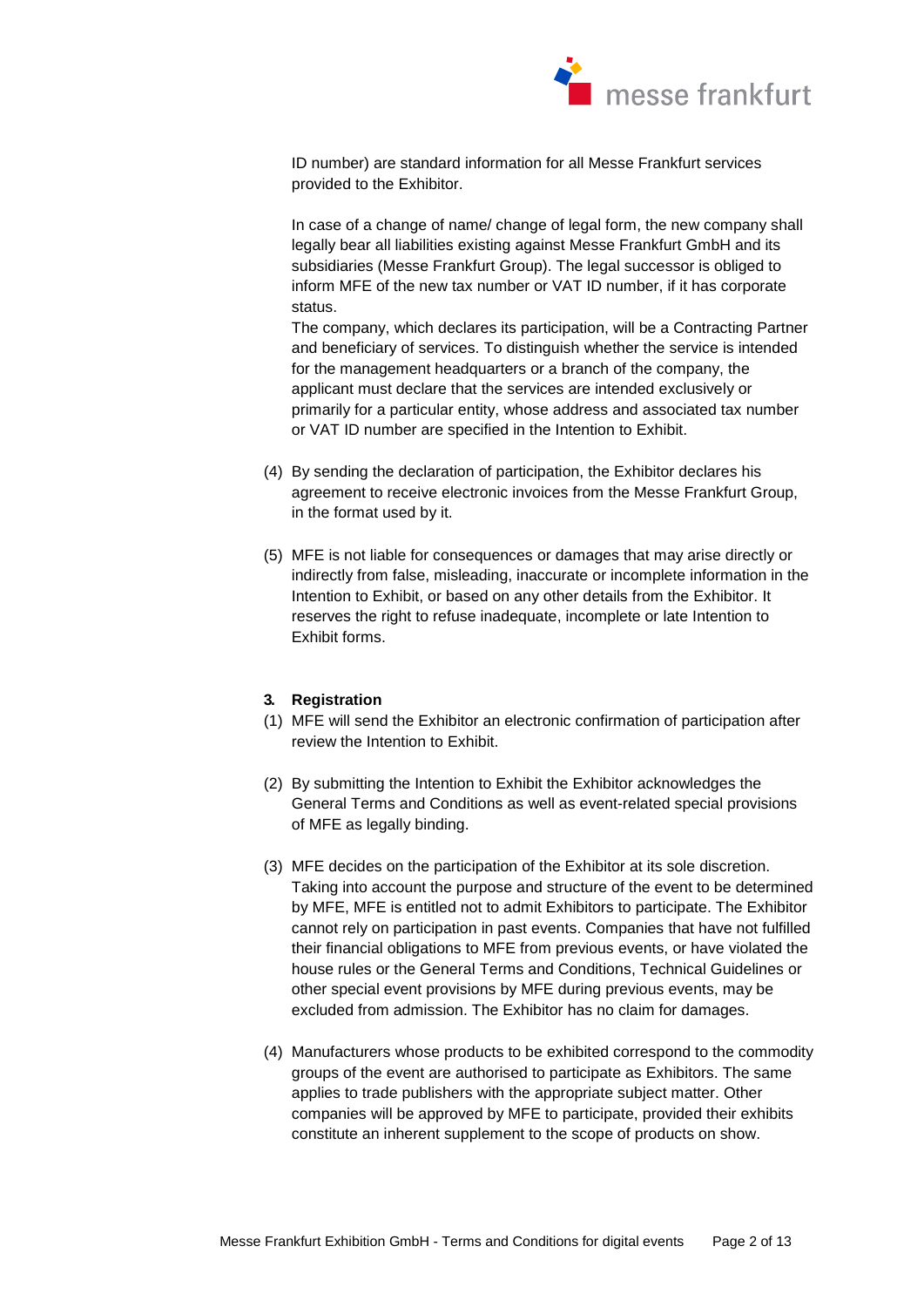

ID number) are standard information for all Messe Frankfurt services provided to the Exhibitor.

In case of a change of name/ change of legal form, the new company shall legally bear all liabilities existing against Messe Frankfurt GmbH and its subsidiaries (Messe Frankfurt Group). The legal successor is obliged to inform MFE of the new tax number or VAT ID number, if it has corporate status.

The company, which declares its participation, will be a Contracting Partner and beneficiary of services. To distinguish whether the service is intended for the management headquarters or a branch of the company, the applicant must declare that the services are intended exclusively or primarily for a particular entity, whose address and associated tax number or VAT ID number are specified in the Intention to Exhibit.

- (4) By sending the declaration of participation, the Exhibitor declares his agreement to receive electronic invoices from the Messe Frankfurt Group, in the format used by it.
- (5) MFE is not liable for consequences or damages that may arise directly or indirectly from false, misleading, inaccurate or incomplete information in the Intention to Exhibit, or based on any other details from the Exhibitor. It reserves the right to refuse inadequate, incomplete or late Intention to Exhibit forms.

#### **3. Registration**

- (1) MFE will send the Exhibitor an electronic confirmation of participation after review the Intention to Exhibit.
- (2) By submitting the Intention to Exhibit the Exhibitor acknowledges the General Terms and Conditions as well as event-related special provisions of MFE as legally binding.
- (3) MFE decides on the participation of the Exhibitor at its sole discretion. Taking into account the purpose and structure of the event to be determined by MFE, MFE is entitled not to admit Exhibitors to participate. The Exhibitor cannot rely on participation in past events. Companies that have not fulfilled their financial obligations to MFE from previous events, or have violated the house rules or the General Terms and Conditions, Technical Guidelines or other special event provisions by MFE during previous events, may be excluded from admission. The Exhibitor has no claim for damages.
- (4) Manufacturers whose products to be exhibited correspond to the commodity groups of the event are authorised to participate as Exhibitors. The same applies to trade publishers with the appropriate subject matter. Other companies will be approved by MFE to participate, provided their exhibits constitute an inherent supplement to the scope of products on show.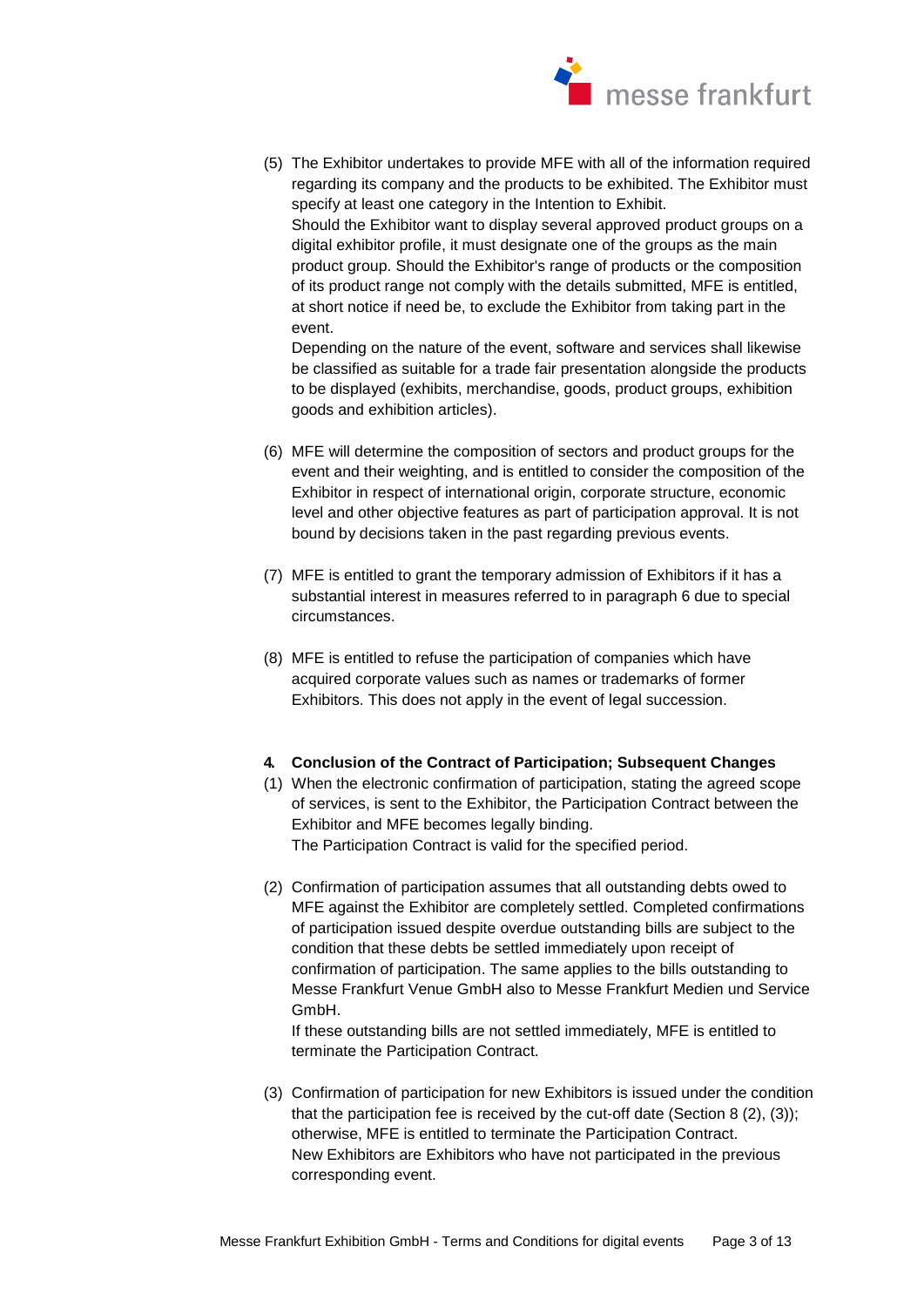

(5) The Exhibitor undertakes to provide MFE with all of the information required regarding its company and the products to be exhibited. The Exhibitor must specify at least one category in the Intention to Exhibit. Should the Exhibitor want to display several approved product groups on a digital exhibitor profile, it must designate one of the groups as the main

product group. Should the Exhibitor's range of products or the composition of its product range not comply with the details submitted, MFE is entitled, at short notice if need be, to exclude the Exhibitor from taking part in the event.

Depending on the nature of the event, software and services shall likewise be classified as suitable for a trade fair presentation alongside the products to be displayed (exhibits, merchandise, goods, product groups, exhibition goods and exhibition articles).

- (6) MFE will determine the composition of sectors and product groups for the event and their weighting, and is entitled to consider the composition of the Exhibitor in respect of international origin, corporate structure, economic level and other objective features as part of participation approval. It is not bound by decisions taken in the past regarding previous events.
- (7) MFE is entitled to grant the temporary admission of Exhibitors if it has a substantial interest in measures referred to in paragraph 6 due to special circumstances.
- (8) MFE is entitled to refuse the participation of companies which have acquired corporate values such as names or trademarks of former Exhibitors. This does not apply in the event of legal succession.

#### **4. Conclusion of the Contract of Participation; Subsequent Changes**

- (1) When the electronic confirmation of participation, stating the agreed scope of services, is sent to the Exhibitor, the Participation Contract between the Exhibitor and MFE becomes legally binding. The Participation Contract is valid for the specified period.
- (2) Confirmation of participation assumes that all outstanding debts owed to MFE against the Exhibitor are completely settled. Completed confirmations of participation issued despite overdue outstanding bills are subject to the condition that these debts be settled immediately upon receipt of confirmation of participation. The same applies to the bills outstanding to Messe Frankfurt Venue GmbH also to Messe Frankfurt Medien und Service GmbH.

If these outstanding bills are not settled immediately, MFE is entitled to terminate the Participation Contract.

(3) Confirmation of participation for new Exhibitors is issued under the condition that the participation fee is received by the cut-off date (Section 8 (2), (3)); otherwise, MFE is entitled to terminate the Participation Contract. New Exhibitors are Exhibitors who have not participated in the previous corresponding event.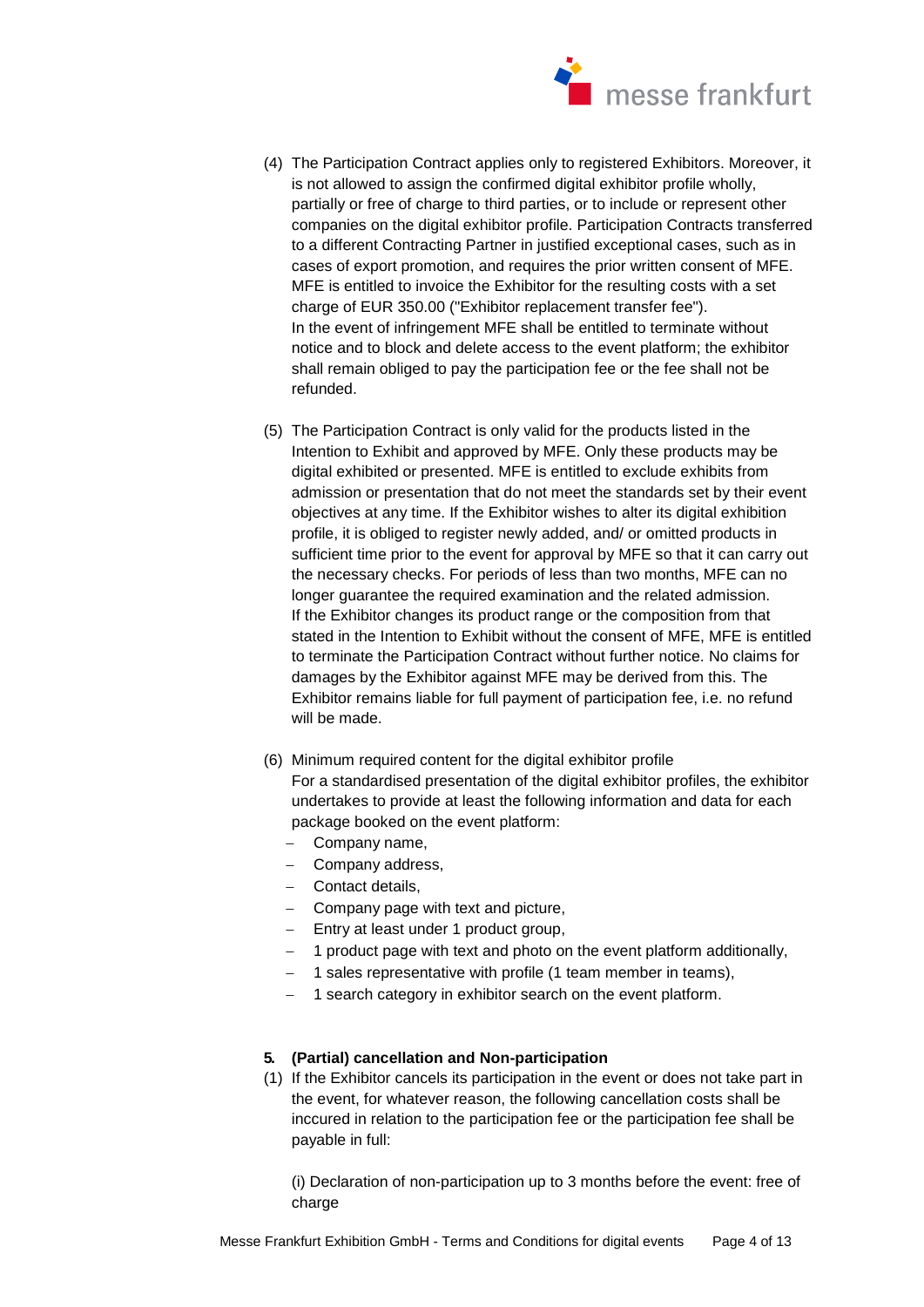

- (4) The Participation Contract applies only to registered Exhibitors. Moreover, it is not allowed to assign the confirmed digital exhibitor profile wholly. partially or free of charge to third parties, or to include or represent other companies on the digital exhibitor profile. Participation Contracts transferred to a different Contracting Partner in justified exceptional cases, such as in cases of export promotion, and requires the prior written consent of MFE. MFE is entitled to invoice the Exhibitor for the resulting costs with a set charge of EUR 350.00 ("Exhibitor replacement transfer fee"). In the event of infringement MFE shall be entitled to terminate without notice and to block and delete access to the event platform; the exhibitor shall remain obliged to pay the participation fee or the fee shall not be refunded.
- (5) The Participation Contract is only valid for the products listed in the Intention to Exhibit and approved by MFE. Only these products may be digital exhibited or presented. MFE is entitled to exclude exhibits from admission or presentation that do not meet the standards set by their event objectives at any time. If the Exhibitor wishes to alter its digital exhibition profile, it is obliged to register newly added, and/ or omitted products in sufficient time prior to the event for approval by MFE so that it can carry out the necessary checks. For periods of less than two months, MFE can no longer guarantee the required examination and the related admission. If the Exhibitor changes its product range or the composition from that stated in the Intention to Exhibit without the consent of MFE, MFE is entitled to terminate the Participation Contract without further notice. No claims for damages by the Exhibitor against MFE may be derived from this. The Exhibitor remains liable for full payment of participation fee, i.e. no refund will be made.
- (6) Minimum required content for the digital exhibitor profile For a standardised presentation of the digital exhibitor profiles, the exhibitor undertakes to provide at least the following information and data for each package booked on the event platform:
	- Company name,
	- Company address,
	- Contact details,
	- Company page with text and picture,
	- $-$  Entry at least under 1 product group,
	- 1 product page with text and photo on the event platform additionally,
	- $-$  1 sales representative with profile (1 team member in teams),
	- 1 search category in exhibitor search on the event platform.

# **5. (Partial) cancellation and Non-participation**

(1) If the Exhibitor cancels its participation in the event or does not take part in the event, for whatever reason, the following cancellation costs shall be inccured in relation to the participation fee or the participation fee shall be payable in full:

(i) Declaration of non-participation up to 3 months before the event: free of charge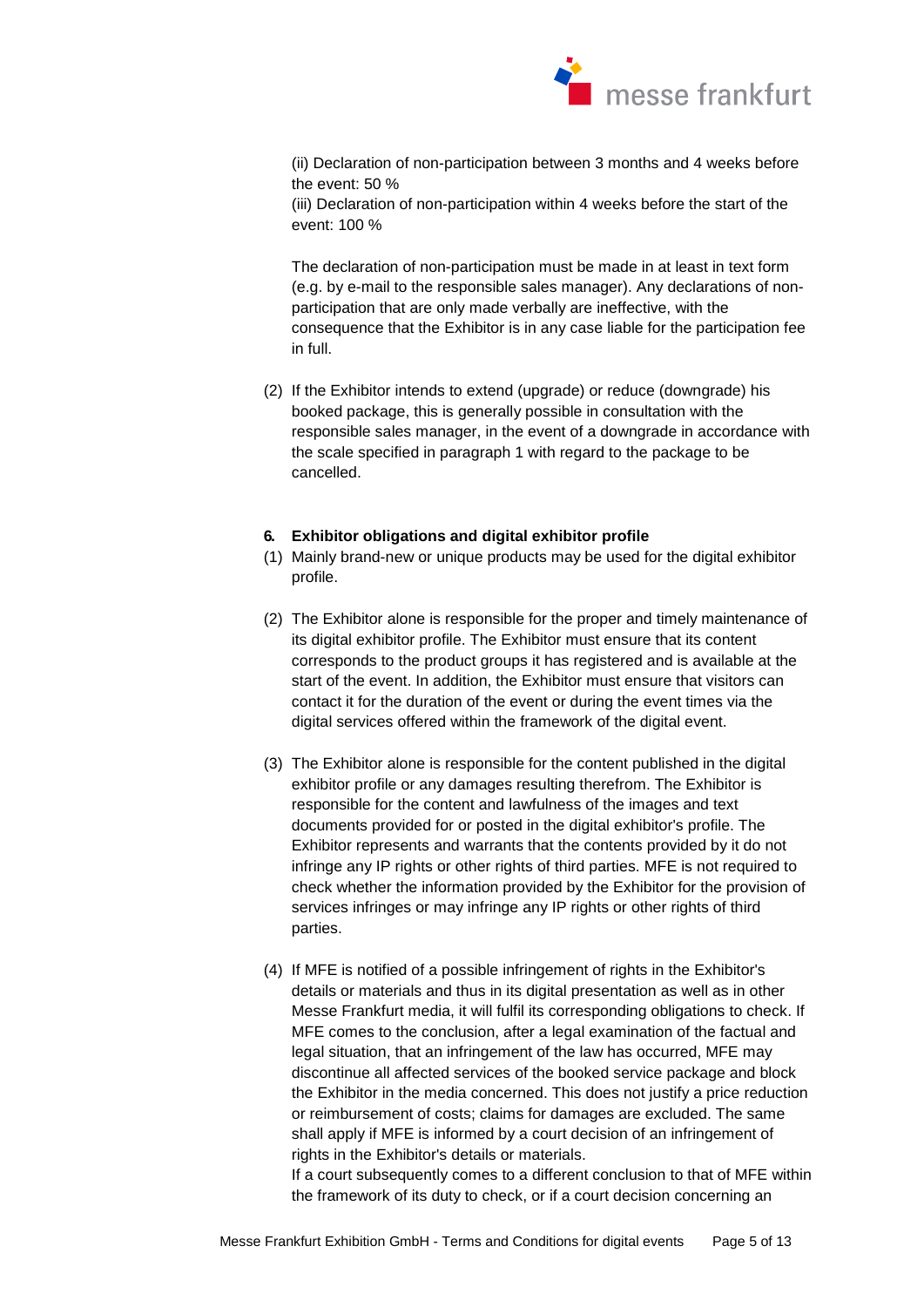

(ii) Declaration of non-participation between 3 months and 4 weeks before the event: 50 %

(iii) Declaration of non-participation within 4 weeks before the start of the event: 100 %

The declaration of non-participation must be made in at least in text form (e.g. by e-mail to the responsible sales manager). Any declarations of nonparticipation that are only made verbally are ineffective, with the consequence that the Exhibitor is in any case liable for the participation fee in full.

(2) If the Exhibitor intends to extend (upgrade) or reduce (downgrade) his booked package, this is generally possible in consultation with the responsible sales manager, in the event of a downgrade in accordance with the scale specified in paragraph 1 with regard to the package to be cancelled.

# **6. Exhibitor obligations and digital exhibitor profile**

- (1) Mainly brand-new or unique products may be used for the digital exhibitor profile.
- (2) The Exhibitor alone is responsible for the proper and timely maintenance of its digital exhibitor profile. The Exhibitor must ensure that its content corresponds to the product groups it has registered and is available at the start of the event. In addition, the Exhibitor must ensure that visitors can contact it for the duration of the event or during the event times via the digital services offered within the framework of the digital event.
- (3) The Exhibitor alone is responsible for the content published in the digital exhibitor profile or any damages resulting therefrom. The Exhibitor is responsible for the content and lawfulness of the images and text documents provided for or posted in the digital exhibitor's profile. The Exhibitor represents and warrants that the contents provided by it do not infringe any IP rights or other rights of third parties. MFE is not required to check whether the information provided by the Exhibitor for the provision of services infringes or may infringe any IP rights or other rights of third parties.
- (4) If MFE is notified of a possible infringement of rights in the Exhibitor's details or materials and thus in its digital presentation as well as in other Messe Frankfurt media, it will fulfil its corresponding obligations to check. If MFE comes to the conclusion, after a legal examination of the factual and legal situation, that an infringement of the law has occurred, MFE may discontinue all affected services of the booked service package and block the Exhibitor in the media concerned. This does not justify a price reduction or reimbursement of costs; claims for damages are excluded. The same shall apply if MFE is informed by a court decision of an infringement of rights in the Exhibitor's details or materials.

If a court subsequently comes to a different conclusion to that of MFE within the framework of its duty to check, or if a court decision concerning an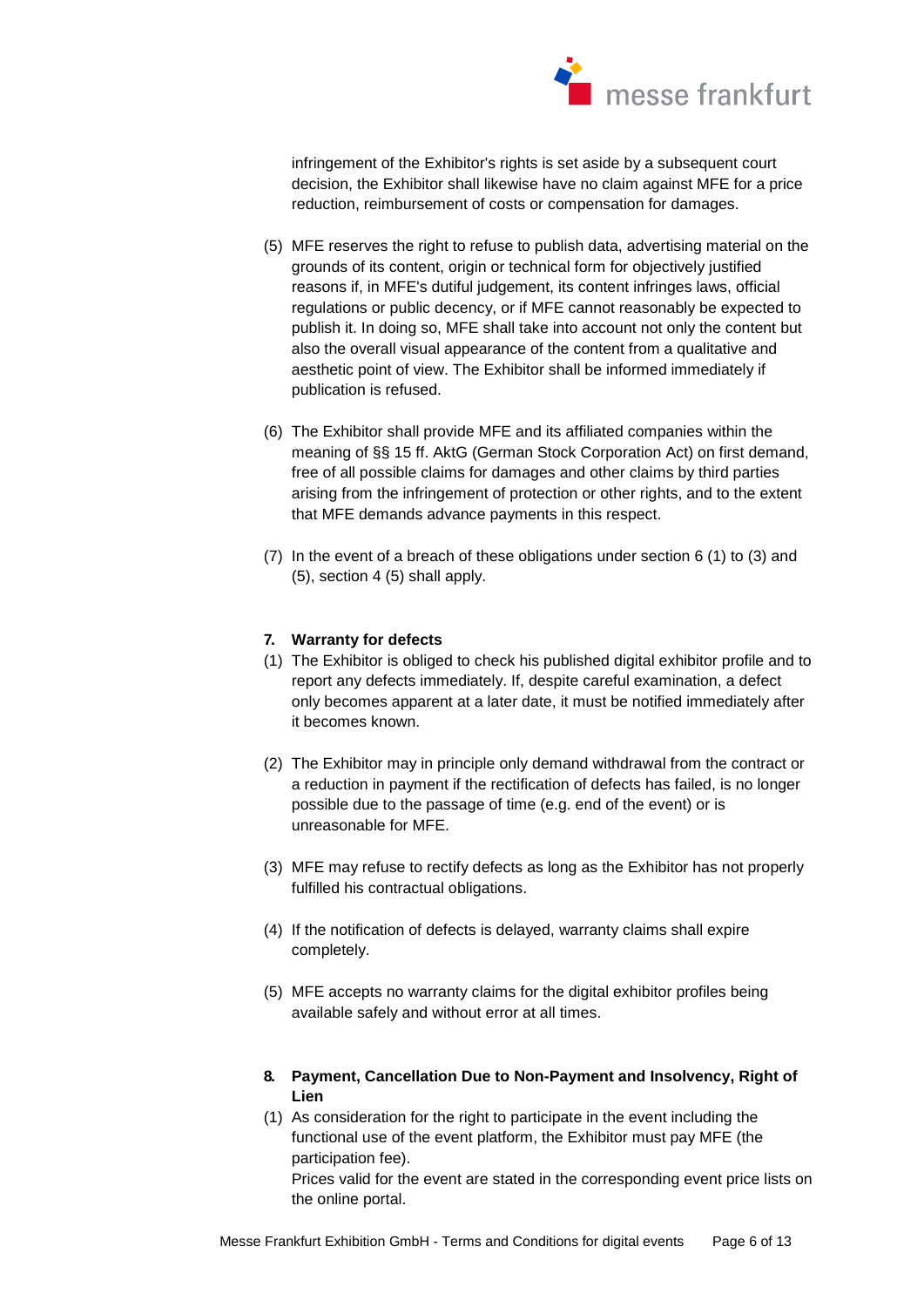

infringement of the Exhibitor's rights is set aside by a subsequent court decision, the Exhibitor shall likewise have no claim against MFE for a price reduction, reimbursement of costs or compensation for damages.

- (5) MFE reserves the right to refuse to publish data, advertising material on the grounds of its content, origin or technical form for objectively justified reasons if, in MFE's dutiful judgement, its content infringes laws, official regulations or public decency, or if MFE cannot reasonably be expected to publish it. In doing so, MFE shall take into account not only the content but also the overall visual appearance of the content from a qualitative and aesthetic point of view. The Exhibitor shall be informed immediately if publication is refused.
- (6) The Exhibitor shall provide MFE and its affiliated companies within the meaning of §§ 15 ff. AktG (German Stock Corporation Act) on first demand, free of all possible claims for damages and other claims by third parties arising from the infringement of protection or other rights, and to the extent that MFE demands advance payments in this respect.
- (7) In the event of a breach of these obligations under section 6 (1) to (3) and (5), section 4 (5) shall apply.

# **7. Warranty for defects**

- (1) The Exhibitor is obliged to check his published digital exhibitor profile and to report any defects immediately. If, despite careful examination, a defect only becomes apparent at a later date, it must be notified immediately after it becomes known.
- (2) The Exhibitor may in principle only demand withdrawal from the contract or a reduction in payment if the rectification of defects has failed, is no longer possible due to the passage of time (e.g. end of the event) or is unreasonable for MFE.
- (3) MFE may refuse to rectify defects as long as the Exhibitor has not properly fulfilled his contractual obligations.
- (4) If the notification of defects is delayed, warranty claims shall expire completely.
- (5) MFE accepts no warranty claims for the digital exhibitor profiles being available safely and without error at all times.
- **8. Payment, Cancellation Due to Non-Payment and Insolvency, Right of Lien**
- (1) As consideration for the right to participate in the event including the functional use of the event platform, the Exhibitor must pay MFE (the participation fee).

Prices valid for the event are stated in the corresponding event price lists on the online portal.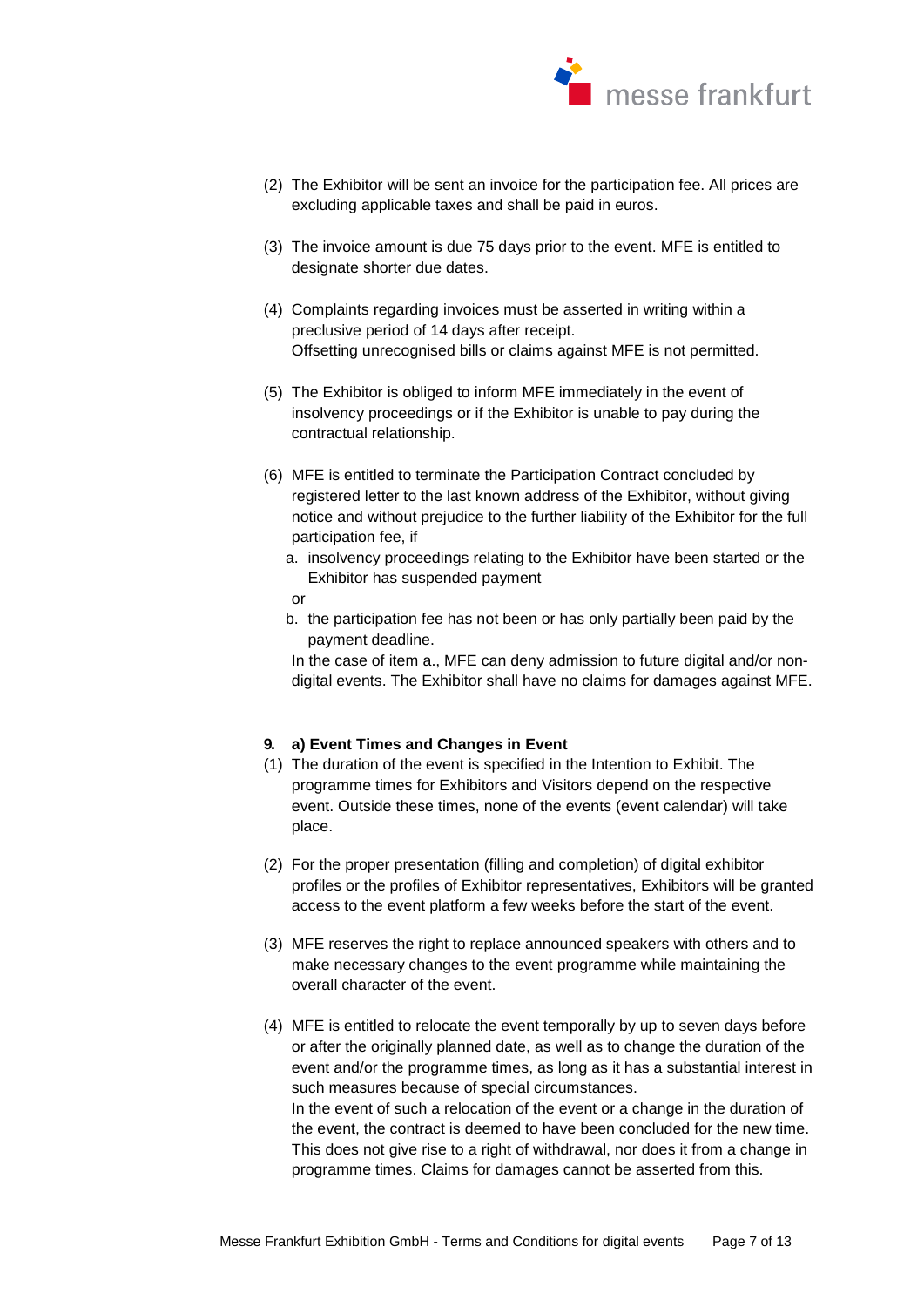

- (2) The Exhibitor will be sent an invoice for the participation fee. All prices are excluding applicable taxes and shall be paid in euros.
- (3) The invoice amount is due 75 days prior to the event. MFE is entitled to designate shorter due dates.
- (4) Complaints regarding invoices must be asserted in writing within a preclusive period of 14 days after receipt. Offsetting unrecognised bills or claims against MFE is not permitted.
- (5) The Exhibitor is obliged to inform MFE immediately in the event of insolvency proceedings or if the Exhibitor is unable to pay during the contractual relationship.
- (6) MFE is entitled to terminate the Participation Contract concluded by registered letter to the last known address of the Exhibitor, without giving notice and without prejudice to the further liability of the Exhibitor for the full participation fee, if
	- a. insolvency proceedings relating to the Exhibitor have been started or the Exhibitor has suspended payment
	- or
	- b. the participation fee has not been or has only partially been paid by the payment deadline.

In the case of item a., MFE can deny admission to future digital and/or nondigital events. The Exhibitor shall have no claims for damages against MFE.

# **9. a) Event Times and Changes in Event**

- (1) The duration of the event is specified in the Intention to Exhibit. The programme times for Exhibitors and Visitors depend on the respective event. Outside these times, none of the events (event calendar) will take place.
- (2) For the proper presentation (filling and completion) of digital exhibitor profiles or the profiles of Exhibitor representatives, Exhibitors will be granted access to the event platform a few weeks before the start of the event.
- (3) MFE reserves the right to replace announced speakers with others and to make necessary changes to the event programme while maintaining the overall character of the event.
- (4) MFE is entitled to relocate the event temporally by up to seven days before or after the originally planned date, as well as to change the duration of the event and/or the programme times, as long as it has a substantial interest in such measures because of special circumstances. In the event of such a relocation of the event or a change in the duration of the event, the contract is deemed to have been concluded for the new time. This does not give rise to a right of withdrawal, nor does it from a change in programme times. Claims for damages cannot be asserted from this.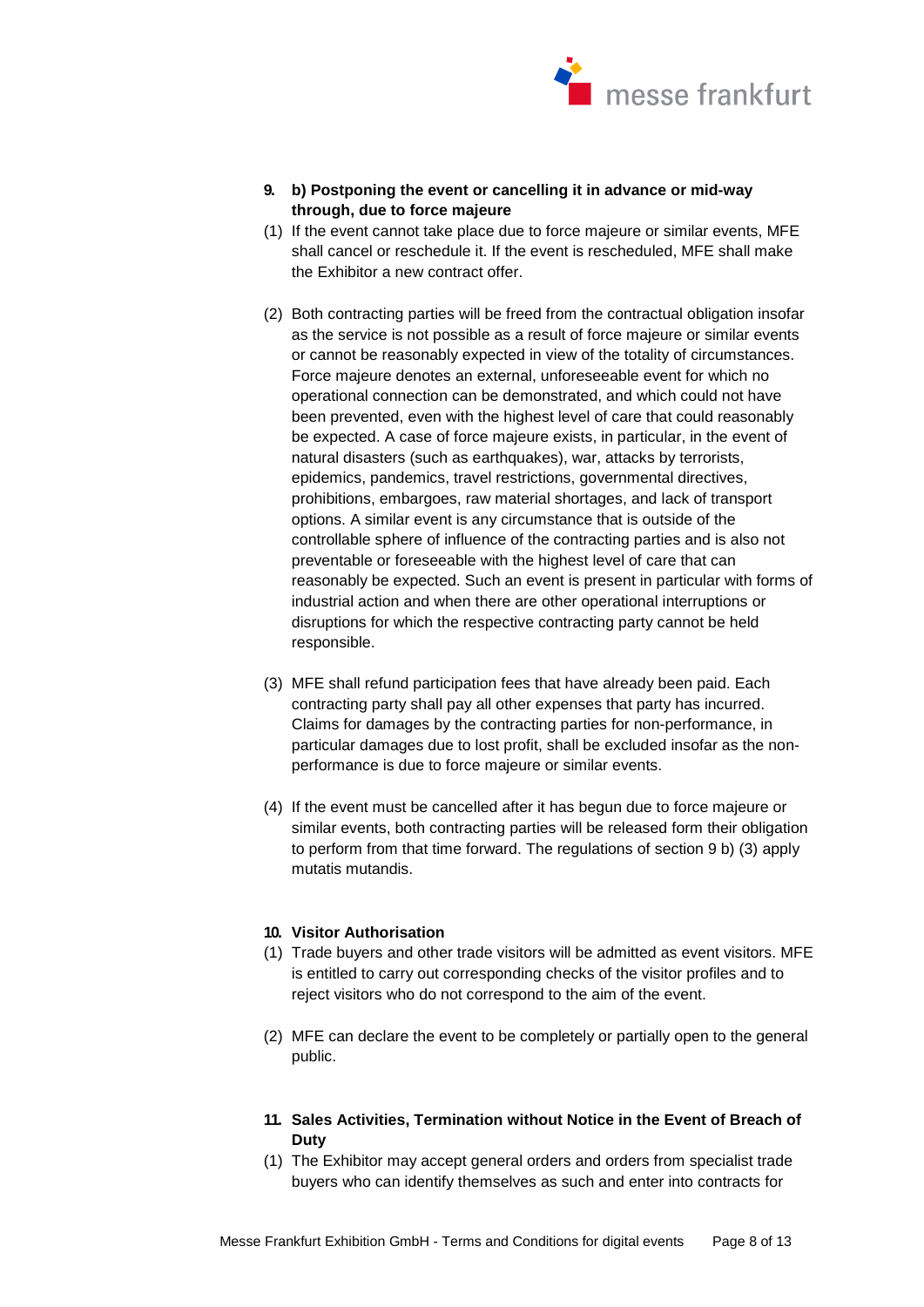

- **9. b) Postponing the event or cancelling it in advance or mid-way through, due to force majeure**
- (1) If the event cannot take place due to force majeure or similar events, MFE shall cancel or reschedule it. If the event is rescheduled, MFE shall make the Exhibitor a new contract offer.
- (2) Both contracting parties will be freed from the contractual obligation insofar as the service is not possible as a result of force majeure or similar events or cannot be reasonably expected in view of the totality of circumstances. Force majeure denotes an external, unforeseeable event for which no operational connection can be demonstrated, and which could not have been prevented, even with the highest level of care that could reasonably be expected. A case of force majeure exists, in particular, in the event of natural disasters (such as earthquakes), war, attacks by terrorists, epidemics, pandemics, travel restrictions, governmental directives, prohibitions, embargoes, raw material shortages, and lack of transport options. A similar event is any circumstance that is outside of the controllable sphere of influence of the contracting parties and is also not preventable or foreseeable with the highest level of care that can reasonably be expected. Such an event is present in particular with forms of industrial action and when there are other operational interruptions or disruptions for which the respective contracting party cannot be held responsible.
- (3) MFE shall refund participation fees that have already been paid. Each contracting party shall pay all other expenses that party has incurred. Claims for damages by the contracting parties for non-performance, in particular damages due to lost profit, shall be excluded insofar as the nonperformance is due to force majeure or similar events.
- (4) If the event must be cancelled after it has begun due to force majeure or similar events, both contracting parties will be released form their obligation to perform from that time forward. The regulations of section 9 b) (3) apply mutatis mutandis.

#### **10. Visitor Authorisation**

- (1) Trade buyers and other trade visitors will be admitted as event visitors. MFE is entitled to carry out corresponding checks of the visitor profiles and to reject visitors who do not correspond to the aim of the event.
- (2) MFE can declare the event to be completely or partially open to the general public.
- **11. Sales Activities, Termination without Notice in the Event of Breach of Duty**
- (1) The Exhibitor may accept general orders and orders from specialist trade buyers who can identify themselves as such and enter into contracts for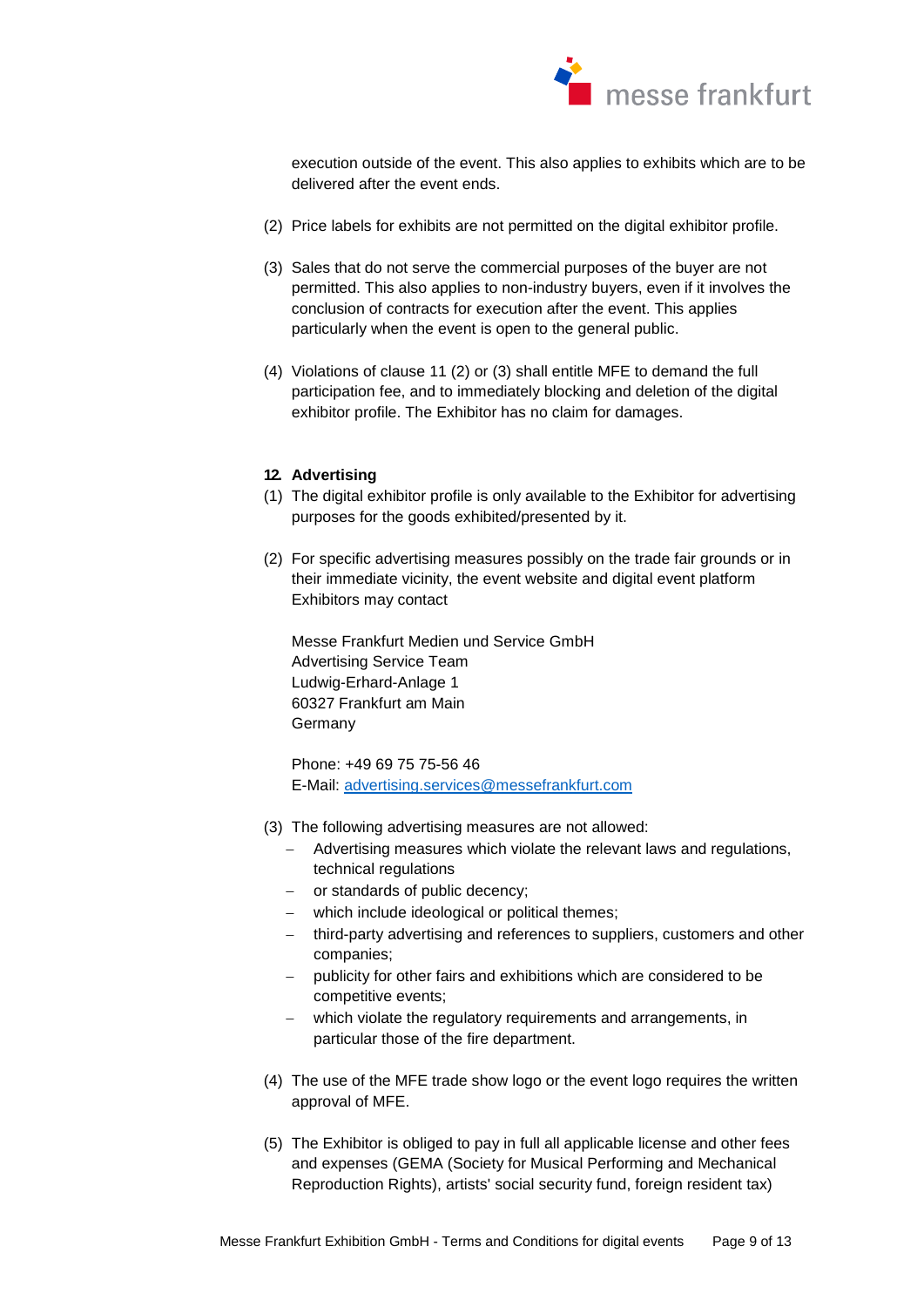

execution outside of the event. This also applies to exhibits which are to be delivered after the event ends.

- (2) Price labels for exhibits are not permitted on the digital exhibitor profile.
- (3) Sales that do not serve the commercial purposes of the buyer are not permitted. This also applies to non-industry buyers, even if it involves the conclusion of contracts for execution after the event. This applies particularly when the event is open to the general public.
- (4) Violations of clause 11 (2) or (3) shall entitle MFE to demand the full participation fee, and to immediately blocking and deletion of the digital exhibitor profile. The Exhibitor has no claim for damages.

# **12. Advertising**

- (1) The digital exhibitor profile is only available to the Exhibitor for advertising purposes for the goods exhibited/presented by it.
- (2) For specific advertising measures possibly on the trade fair grounds or in their immediate vicinity, the event website and digital event platform Exhibitors may contact

Messe Frankfurt Medien und Service GmbH Advertising Service Team Ludwig-Erhard-Anlage 1 60327 Frankfurt am Main Germany

Phone: +49 69 75 75-56 46 E-Mail: [advertising.services@messefrankfurt.com](mailto:advertising.services@messefrankfurt.com) 

- (3) The following advertising measures are not allowed:
	- Advertising measures which violate the relevant laws and regulations, technical regulations
	- or standards of public decency;
	- which include ideological or political themes;
	- third-party advertising and references to suppliers, customers and other companies;
	- publicity for other fairs and exhibitions which are considered to be competitive events;
	- which violate the regulatory requirements and arrangements, in particular those of the fire department.
- (4) The use of the MFE trade show logo or the event logo requires the written approval of MFE.
- (5) The Exhibitor is obliged to pay in full all applicable license and other fees and expenses (GEMA (Society for Musical Performing and Mechanical Reproduction Rights), artists' social security fund, foreign resident tax)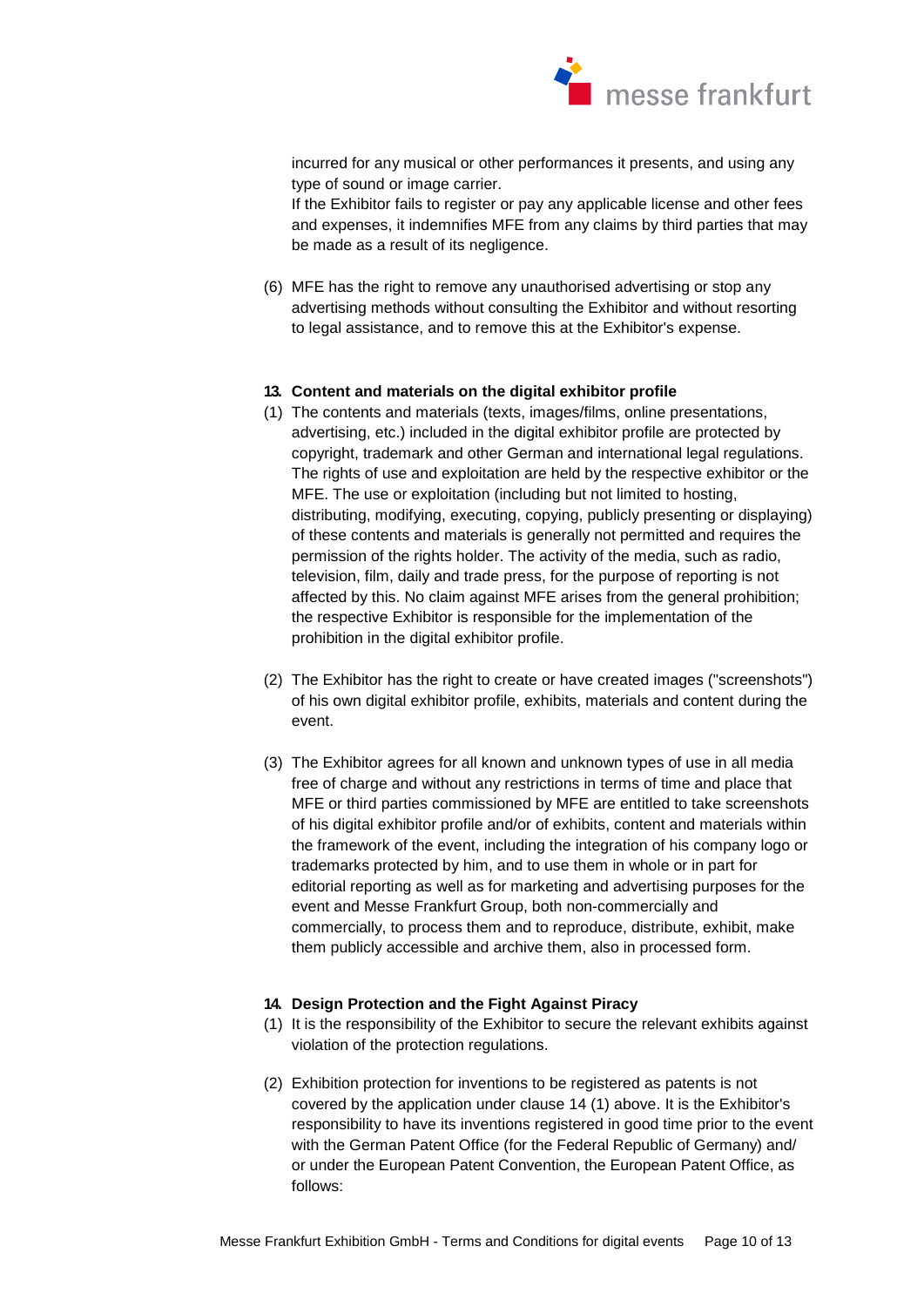

incurred for any musical or other performances it presents, and using any type of sound or image carrier.

If the Exhibitor fails to register or pay any applicable license and other fees and expenses, it indemnifies MFE from any claims by third parties that may be made as a result of its negligence.

(6) MFE has the right to remove any unauthorised advertising or stop any advertising methods without consulting the Exhibitor and without resorting to legal assistance, and to remove this at the Exhibitor's expense.

#### **13. Content and materials on the digital exhibitor profile**

- (1) The contents and materials (texts, images/films, online presentations, advertising, etc.) included in the digital exhibitor profile are protected by copyright, trademark and other German and international legal regulations. The rights of use and exploitation are held by the respective exhibitor or the MFE. The use or exploitation (including but not limited to hosting, distributing, modifying, executing, copying, publicly presenting or displaying) of these contents and materials is generally not permitted and requires the permission of the rights holder. The activity of the media, such as radio, television, film, daily and trade press, for the purpose of reporting is not affected by this. No claim against MFE arises from the general prohibition; the respective Exhibitor is responsible for the implementation of the prohibition in the digital exhibitor profile.
- (2) The Exhibitor has the right to create or have created images ("screenshots") of his own digital exhibitor profile, exhibits, materials and content during the event.
- (3) The Exhibitor agrees for all known and unknown types of use in all media free of charge and without any restrictions in terms of time and place that MFE or third parties commissioned by MFE are entitled to take screenshots of his digital exhibitor profile and/or of exhibits, content and materials within the framework of the event, including the integration of his company logo or trademarks protected by him, and to use them in whole or in part for editorial reporting as well as for marketing and advertising purposes for the event and Messe Frankfurt Group, both non-commercially and commercially, to process them and to reproduce, distribute, exhibit, make them publicly accessible and archive them, also in processed form.

#### **14. Design Protection and the Fight Against Piracy**

- (1) It is the responsibility of the Exhibitor to secure the relevant exhibits against violation of the protection regulations.
- (2) Exhibition protection for inventions to be registered as patents is not covered by the application under clause 14 (1) above. It is the Exhibitor's responsibility to have its inventions registered in good time prior to the event with the German Patent Office (for the Federal Republic of Germany) and/ or under the European Patent Convention, the European Patent Office, as follows: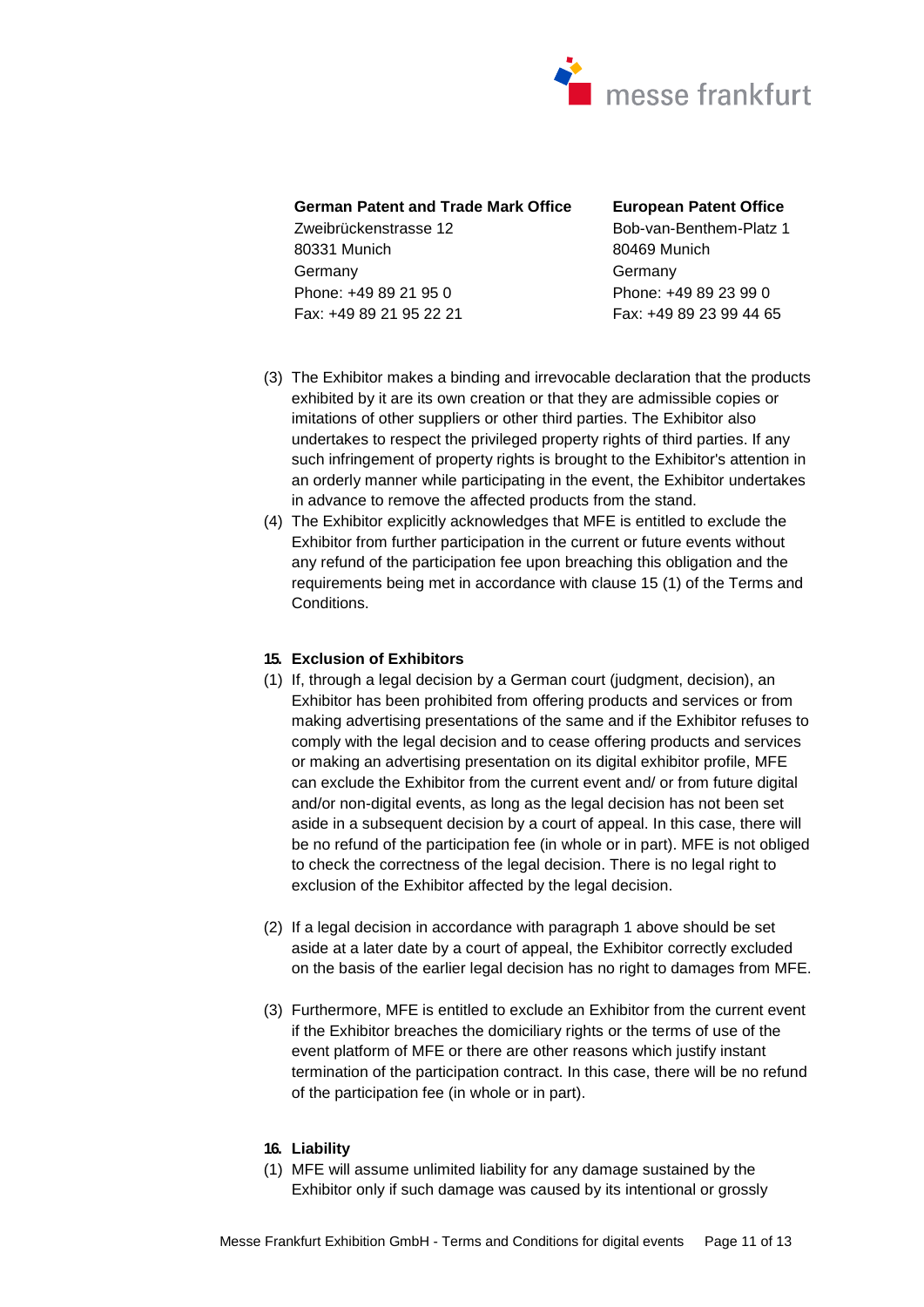

# **German Patent and Trade Mark Office**

Zweibrückenstrasse 12 80331 Munich Germany Phone: +49 89 21 95 0 Fax: +49 89 21 95 22 21 **European Patent Office**  Bob-van-Benthem-Platz 1 80469 Munich Germany Phone: +49 89 23 99 0 Fax: +49 89 23 99 44 65

- (3) The Exhibitor makes a binding and irrevocable declaration that the products exhibited by it are its own creation or that they are admissible copies or imitations of other suppliers or other third parties. The Exhibitor also undertakes to respect the privileged property rights of third parties. If any such infringement of property rights is brought to the Exhibitor's attention in an orderly manner while participating in the event, the Exhibitor undertakes in advance to remove the affected products from the stand.
- (4) The Exhibitor explicitly acknowledges that MFE is entitled to exclude the Exhibitor from further participation in the current or future events without any refund of the participation fee upon breaching this obligation and the requirements being met in accordance with clause 15 (1) of the Terms and Conditions.

# **15. Exclusion of Exhibitors**

- (1) If, through a legal decision by a German court (judgment, decision), an Exhibitor has been prohibited from offering products and services or from making advertising presentations of the same and if the Exhibitor refuses to comply with the legal decision and to cease offering products and services or making an advertising presentation on its digital exhibitor profile, MFE can exclude the Exhibitor from the current event and/ or from future digital and/or non-digital events, as long as the legal decision has not been set aside in a subsequent decision by a court of appeal. In this case, there will be no refund of the participation fee (in whole or in part). MFE is not obliged to check the correctness of the legal decision. There is no legal right to exclusion of the Exhibitor affected by the legal decision.
- (2) If a legal decision in accordance with paragraph 1 above should be set aside at a later date by a court of appeal, the Exhibitor correctly excluded on the basis of the earlier legal decision has no right to damages from MFE.
- (3) Furthermore, MFE is entitled to exclude an Exhibitor from the current event if the Exhibitor breaches the domiciliary rights or the terms of use of the event platform of MFE or there are other reasons which justify instant termination of the participation contract. In this case, there will be no refund of the participation fee (in whole or in part).

#### **16. Liability**

(1) MFE will assume unlimited liability for any damage sustained by the Exhibitor only if such damage was caused by its intentional or grossly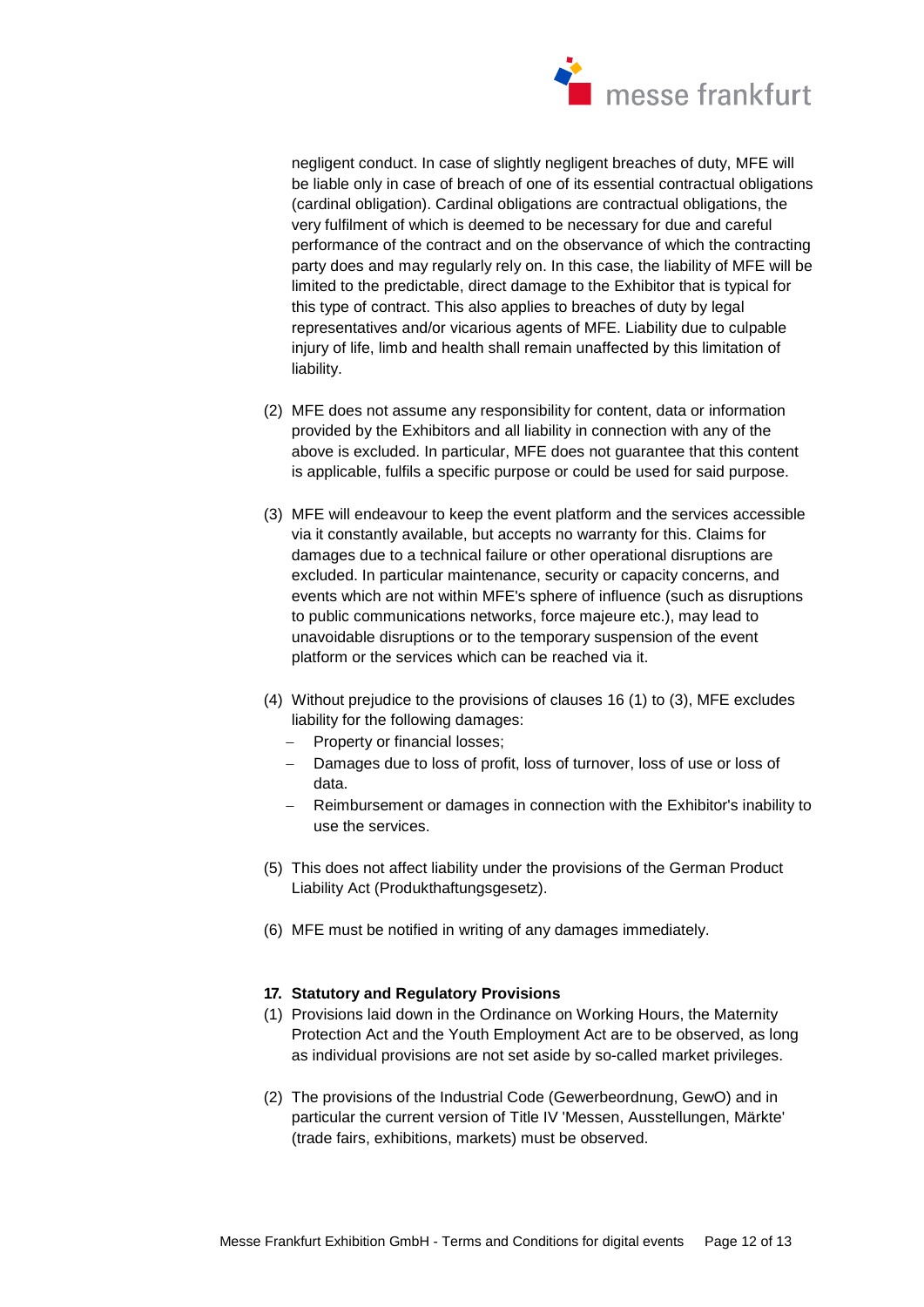

negligent conduct. In case of slightly negligent breaches of duty, MFE will be liable only in case of breach of one of its essential contractual obligations (cardinal obligation). Cardinal obligations are contractual obligations, the very fulfilment of which is deemed to be necessary for due and careful performance of the contract and on the observance of which the contracting party does and may regularly rely on. In this case, the liability of MFE will be limited to the predictable, direct damage to the Exhibitor that is typical for this type of contract. This also applies to breaches of duty by legal representatives and/or vicarious agents of MFE. Liability due to culpable injury of life, limb and health shall remain unaffected by this limitation of liability.

- (2) MFE does not assume any responsibility for content, data or information provided by the Exhibitors and all liability in connection with any of the above is excluded. In particular, MFE does not guarantee that this content is applicable, fulfils a specific purpose or could be used for said purpose.
- (3) MFE will endeavour to keep the event platform and the services accessible via it constantly available, but accepts no warranty for this. Claims for damages due to a technical failure or other operational disruptions are excluded. In particular maintenance, security or capacity concerns, and events which are not within MFE's sphere of influence (such as disruptions to public communications networks, force majeure etc.), may lead to unavoidable disruptions or to the temporary suspension of the event platform or the services which can be reached via it.
- (4) Without prejudice to the provisions of clauses 16 (1) to (3), MFE excludes liability for the following damages:
	- Property or financial losses;
	- Damages due to loss of profit, loss of turnover, loss of use or loss of data.
	- Reimbursement or damages in connection with the Exhibitor's inability to use the services.
- (5) This does not affect liability under the provisions of the German Product Liability Act (Produkthaftungsgesetz).
- (6) MFE must be notified in writing of any damages immediately.

#### **17. Statutory and Regulatory Provisions**

- (1) Provisions laid down in the Ordinance on Working Hours, the Maternity Protection Act and the Youth Employment Act are to be observed, as long as individual provisions are not set aside by so-called market privileges.
- (2) The provisions of the Industrial Code (Gewerbeordnung, GewO) and in particular the current version of Title IV 'Messen, Ausstellungen, Märkte' (trade fairs, exhibitions, markets) must be observed.